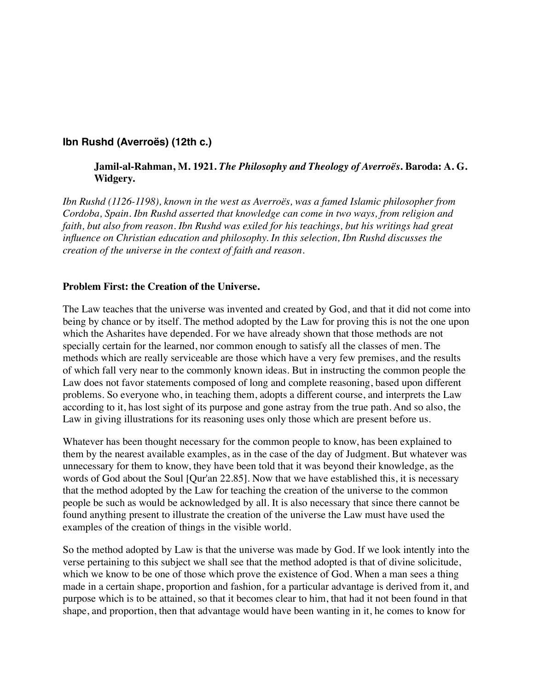## **Ibn Rushd (Averroës) (12th c.)**

## **Jamil-al-Rahman, M. 1921.** *The Philosophy and Theology of Averroës***. Baroda: A. G. Widgery.**

*Ibn Rushd (1126-1198), known in the west as Averroës, was a famed Islamic philosopher from Cordoba, Spain. Ibn Rushd asserted that knowledge can come in two ways, from religion and faith, but also from reason. Ibn Rushd was exiled for his teachings, but his writings had great influence on Christian education and philosophy. In this selection, Ibn Rushd discusses the creation of the universe in the context of faith and reason.*

## **Problem First: the Creation of the Universe.**

The Law teaches that the universe was invented and created by God, and that it did not come into being by chance or by itself. The method adopted by the Law for proving this is not the one upon which the Asharites have depended. For we have already shown that those methods are not specially certain for the learned, nor common enough to satisfy all the classes of men. The methods which are really serviceable are those which have a very few premises, and the results of which fall very near to the commonly known ideas. But in instructing the common people the Law does not favor statements composed of long and complete reasoning, based upon different problems. So everyone who, in teaching them, adopts a different course, and interprets the Law according to it, has lost sight of its purpose and gone astray from the true path. And so also, the Law in giving illustrations for its reasoning uses only those which are present before us.

Whatever has been thought necessary for the common people to know, has been explained to them by the nearest available examples, as in the case of the day of Judgment. But whatever was unnecessary for them to know, they have been told that it was beyond their knowledge, as the words of God about the Soul [Qur'an 22.85]. Now that we have established this, it is necessary that the method adopted by the Law for teaching the creation of the universe to the common people be such as would be acknowledged by all. It is also necessary that since there cannot be found anything present to illustrate the creation of the universe the Law must have used the examples of the creation of things in the visible world.

So the method adopted by Law is that the universe was made by God. If we look intently into the verse pertaining to this subject we shall see that the method adopted is that of divine solicitude, which we know to be one of those which prove the existence of God. When a man sees a thing made in a certain shape, proportion and fashion, for a particular advantage is derived from it, and purpose which is to be attained, so that it becomes clear to him, that had it not been found in that shape, and proportion, then that advantage would have been wanting in it, he comes to know for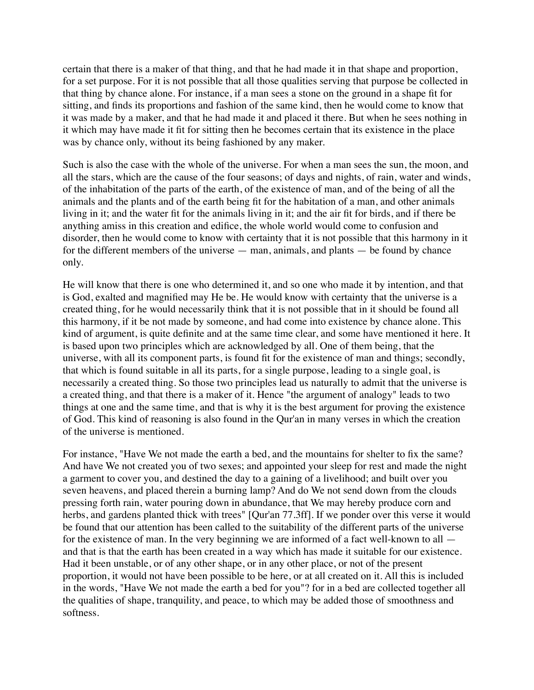certain that there is a maker of that thing, and that he had made it in that shape and proportion, for a set purpose. For it is not possible that all those qualities serving that purpose be collected in that thing by chance alone. For instance, if a man sees a stone on the ground in a shape fit for sitting, and finds its proportions and fashion of the same kind, then he would come to know that it was made by a maker, and that he had made it and placed it there. But when he sees nothing in it which may have made it fit for sitting then he becomes certain that its existence in the place was by chance only, without its being fashioned by any maker.

Such is also the case with the whole of the universe. For when a man sees the sun, the moon, and all the stars, which are the cause of the four seasons; of days and nights, of rain, water and winds, of the inhabitation of the parts of the earth, of the existence of man, and of the being of all the animals and the plants and of the earth being fit for the habitation of a man, and other animals living in it; and the water fit for the animals living in it; and the air fit for birds, and if there be anything amiss in this creation and edifice, the whole world would come to confusion and disorder, then he would come to know with certainty that it is not possible that this harmony in it for the different members of the universe — man, animals, and plants — be found by chance only.

He will know that there is one who determined it, and so one who made it by intention, and that is God, exalted and magnified may He be. He would know with certainty that the universe is a created thing, for he would necessarily think that it is not possible that in it should be found all this harmony, if it be not made by someone, and had come into existence by chance alone. This kind of argument, is quite definite and at the same time clear, and some have mentioned it here. It is based upon two principles which are acknowledged by all. One of them being, that the universe, with all its component parts, is found fit for the existence of man and things; secondly, that which is found suitable in all its parts, for a single purpose, leading to a single goal, is necessarily a created thing. So those two principles lead us naturally to admit that the universe is a created thing, and that there is a maker of it. Hence "the argument of analogy" leads to two things at one and the same time, and that is why it is the best argument for proving the existence of God. This kind of reasoning is also found in the Qur'an in many verses in which the creation of the universe is mentioned.

For instance, "Have We not made the earth a bed, and the mountains for shelter to fix the same? And have We not created you of two sexes; and appointed your sleep for rest and made the night a garment to cover you, and destined the day to a gaining of a livelihood; and built over you seven heavens, and placed therein a burning lamp? And do We not send down from the clouds pressing forth rain, water pouring down in abundance, that We may hereby produce corn and herbs, and gardens planted thick with trees" [Qur'an 77.3ff]. If we ponder over this verse it would be found that our attention has been called to the suitability of the different parts of the universe for the existence of man. In the very beginning we are informed of a fact well-known to all and that is that the earth has been created in a way which has made it suitable for our existence. Had it been unstable, or of any other shape, or in any other place, or not of the present proportion, it would not have been possible to be here, or at all created on it. All this is included in the words, "Have We not made the earth a bed for you"? for in a bed are collected together all the qualities of shape, tranquility, and peace, to which may be added those of smoothness and softness.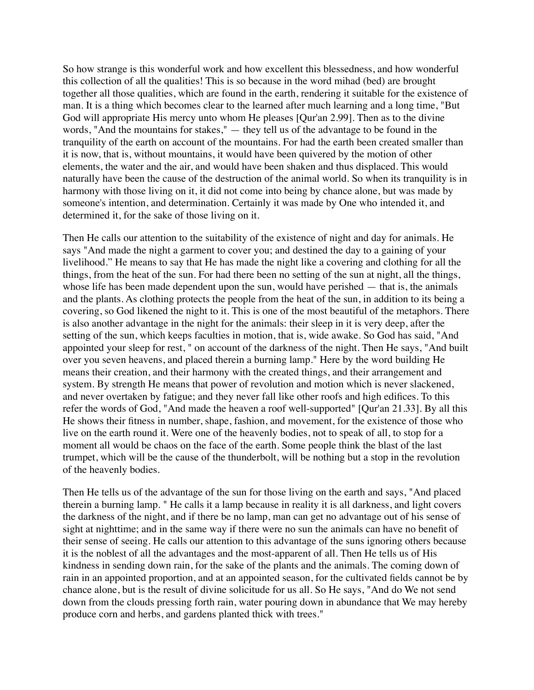So how strange is this wonderful work and how excellent this blessedness, and how wonderful this collection of all the qualities! This is so because in the word mihad (bed) are brought together all those qualities, which are found in the earth, rendering it suitable for the existence of man. It is a thing which becomes clear to the learned after much learning and a long time, "But God will appropriate His mercy unto whom He pleases [Qur'an 2.99]. Then as to the divine words, "And the mountains for stakes," — they tell us of the advantage to be found in the tranquility of the earth on account of the mountains. For had the earth been created smaller than it is now, that is, without mountains, it would have been quivered by the motion of other elements, the water and the air, and would have been shaken and thus displaced. This would naturally have been the cause of the destruction of the animal world. So when its tranquility is in harmony with those living on it, it did not come into being by chance alone, but was made by someone's intention, and determination. Certainly it was made by One who intended it, and determined it, for the sake of those living on it.

Then He calls our attention to the suitability of the existence of night and day for animals. He says "And made the night a garment to cover you; and destined the day to a gaining of your livelihood." He means to say that He has made the night like a covering and clothing for all the things, from the heat of the sun. For had there been no setting of the sun at night, all the things, whose life has been made dependent upon the sun, would have perished — that is, the animals and the plants. As clothing protects the people from the heat of the sun, in addition to its being a covering, so God likened the night to it. This is one of the most beautiful of the metaphors. There is also another advantage in the night for the animals: their sleep in it is very deep, after the setting of the sun, which keeps faculties in motion, that is, wide awake. So God has said, "And appointed your sleep for rest, " on account of the darkness of the night. Then He says, "And built over you seven heavens, and placed therein a burning lamp." Here by the word building He means their creation, and their harmony with the created things, and their arrangement and system. By strength He means that power of revolution and motion which is never slackened, and never overtaken by fatigue; and they never fall like other roofs and high edifices. To this refer the words of God, "And made the heaven a roof well-supported" [Qur'an 21.33]. By all this He shows their fitness in number, shape, fashion, and movement, for the existence of those who live on the earth round it. Were one of the heavenly bodies, not to speak of all, to stop for a moment all would be chaos on the face of the earth. Some people think the blast of the last trumpet, which will be the cause of the thunderbolt, will be nothing but a stop in the revolution of the heavenly bodies.

Then He tells us of the advantage of the sun for those living on the earth and says, "And placed therein a burning lamp. " He calls it a lamp because in reality it is all darkness, and light covers the darkness of the night, and if there be no lamp, man can get no advantage out of his sense of sight at nighttime; and in the same way if there were no sun the animals can have no benefit of their sense of seeing. He calls our attention to this advantage of the suns ignoring others because it is the noblest of all the advantages and the most-apparent of all. Then He tells us of His kindness in sending down rain, for the sake of the plants and the animals. The coming down of rain in an appointed proportion, and at an appointed season, for the cultivated fields cannot be by chance alone, but is the result of divine solicitude for us all. So He says, "And do We not send down from the clouds pressing forth rain, water pouring down in abundance that We may hereby produce corn and herbs, and gardens planted thick with trees."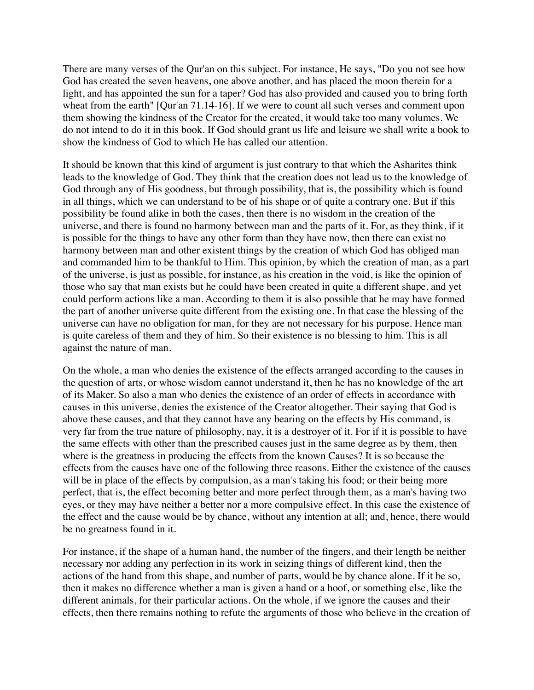There are many verses of the Qur'an on this subject. For instance, He says, "Do you not see how God has created the seven heavens, one above another, and has placed the moon therein for a light, and has appointed the sun for a taper? God has also provided and caused you to bring forth wheat from the earth" [Qur'an 71.14-16]. If we were to count all such verses and comment upon them showing the kindness of the Creator for the created, it would take too many volumes. We do not intend to do it in this book. If God should grant us life and leisure we shall write a book to show the kindness of God to which He has called our attention.

It should be known that this kind of argument is just contrary to that which the Asharites think leads to the knowledge of God. They think that the creation does not lead us to the knowledge of God through any of His goodness, but through possibility, that is, the possibility which is found in all things, which we can understand to be of his shape or of quite a contrary one. But if this possibility be found alike in both the cases, then there is no wisdom in the creation of the universe, and there is found no harmony between man and the parts of it. For, as they think, if it is possible for the things to have any other form than they have now, then there can exist no harmony between man and other existent things by the creation of which God has obliged man and commanded him to be thankful to Him. This opinion, by which the creation of man, as a part of the universe, is just as possible, for instance, as his creation in the void, is like the opinion of those who say that man exists but he could have been created in quite a different shape, and yet could perform actions like a man. According to them it is also possible that he may have formed the part of another universe quite different from the existing one. In that case the blessing of the universe can have no obligation for man, for they are not necessary for his purpose. Hence man is quite careless of them and they of him. So their existence is no blessing to him. This is all against the nature of man.

On the whole, a man who denies the existence of the effects arranged according to the causes in the question of arts, or whose wisdom cannot understand it, then he has no knowledge of the art of its Maker. So also a man who denies the existence of an order of effects in accordance with causes in this universe, denies the existence of the Creator altogether. Their saying that God is above these causes, and that they cannot have any bearing on the effects by His command, is very far from the true nature of philosophy, nay, it is a destroyer of it. For if it is possible to have the same effects with other than the prescribed causes just in the same degree as by them, then where is the greatness in producing the effects from the known Causes? It is so because the effects from the causes have one of the following three reasons. Either the existence of the causes will be in place of the effects by compulsion, as a man's taking his food; or their being more perfect, that is, the effect becoming better and more perfect through them, as a man's having two eyes, or they may have neither a better nor a more compulsive effect. In this case the existence of the effect and the cause would be by chance, without any intention at all; and, hence, there would be no greatness found in it.

For instance, if the shape of a human hand, the number of the fingers, and their length be neither necessary nor adding any perfection in its work in seizing things of different kind, then the actions of the hand from this shape, and number of parts, would be by chance alone. If it be so, then it makes no difference whether a man is given a hand or a hoof, or something else, like the different animals, for their particular actions. On the whole, if we ignore the causes and their effects, then there remains nothing to refute the arguments of those who believe in the creation of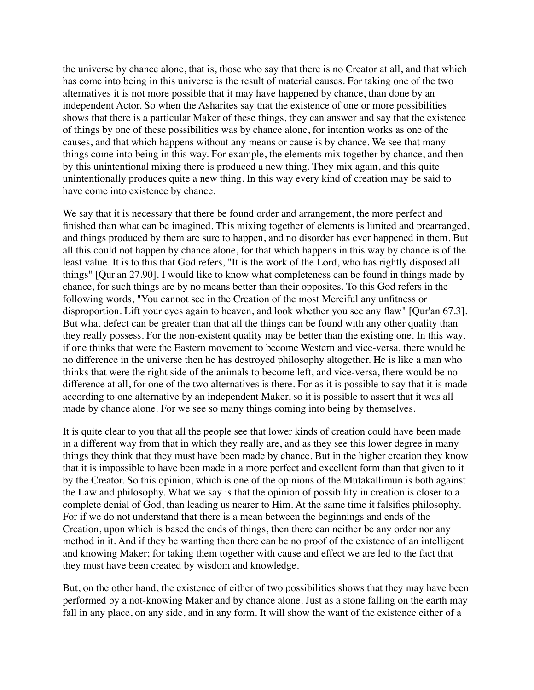the universe by chance alone, that is, those who say that there is no Creator at all, and that which has come into being in this universe is the result of material causes. For taking one of the two alternatives it is not more possible that it may have happened by chance, than done by an independent Actor. So when the Asharites say that the existence of one or more possibilities shows that there is a particular Maker of these things, they can answer and say that the existence of things by one of these possibilities was by chance alone, for intention works as one of the causes, and that which happens without any means or cause is by chance. We see that many things come into being in this way. For example, the elements mix together by chance, and then by this unintentional mixing there is produced a new thing. They mix again, and this quite unintentionally produces quite a new thing. In this way every kind of creation may be said to have come into existence by chance.

We say that it is necessary that there be found order and arrangement, the more perfect and finished than what can be imagined. This mixing together of elements is limited and prearranged, and things produced by them are sure to happen, and no disorder has ever happened in them. But all this could not happen by chance alone, for that which happens in this way by chance is of the least value. It is to this that God refers, "It is the work of the Lord, who has rightly disposed all things" [Qur'an 27.90]. I would like to know what completeness can be found in things made by chance, for such things are by no means better than their opposites. To this God refers in the following words, "You cannot see in the Creation of the most Merciful any unfitness or disproportion. Lift your eyes again to heaven, and look whether you see any flaw" [Qur'an 67.3]. But what defect can be greater than that all the things can be found with any other quality than they really possess. For the non-existent quality may be better than the existing one. In this way, if one thinks that were the Eastern movement to become Western and vice-versa, there would be no difference in the universe then he has destroyed philosophy altogether. He is like a man who thinks that were the right side of the animals to become left, and vice-versa, there would be no difference at all, for one of the two alternatives is there. For as it is possible to say that it is made according to one alternative by an independent Maker, so it is possible to assert that it was all made by chance alone. For we see so many things coming into being by themselves.

It is quite clear to you that all the people see that lower kinds of creation could have been made in a different way from that in which they really are, and as they see this lower degree in many things they think that they must have been made by chance. But in the higher creation they know that it is impossible to have been made in a more perfect and excellent form than that given to it by the Creator. So this opinion, which is one of the opinions of the Mutakallimun is both against the Law and philosophy. What we say is that the opinion of possibility in creation is closer to a complete denial of God, than leading us nearer to Him. At the same time it falsifies philosophy. For if we do not understand that there is a mean between the beginnings and ends of the Creation, upon which is based the ends of things, then there can neither be any order nor any method in it. And if they be wanting then there can be no proof of the existence of an intelligent and knowing Maker; for taking them together with cause and effect we are led to the fact that they must have been created by wisdom and knowledge.

But, on the other hand, the existence of either of two possibilities shows that they may have been performed by a not-knowing Maker and by chance alone. Just as a stone falling on the earth may fall in any place, on any side, and in any form. It will show the want of the existence either of a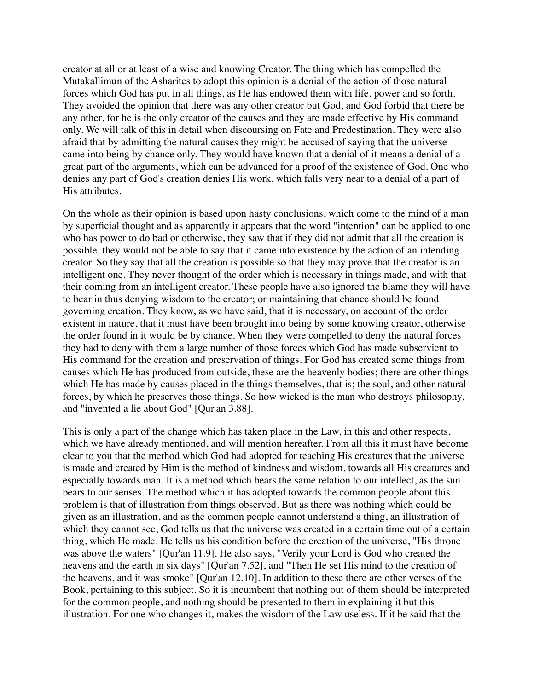creator at all or at least of a wise and knowing Creator. The thing which has compelled the Mutakallimun of the Asharites to adopt this opinion is a denial of the action of those natural forces which God has put in all things, as He has endowed them with life, power and so forth. They avoided the opinion that there was any other creator but God, and God forbid that there be any other, for he is the only creator of the causes and they are made effective by His command only. We will talk of this in detail when discoursing on Fate and Predestination. They were also afraid that by admitting the natural causes they might be accused of saying that the universe came into being by chance only. They would have known that a denial of it means a denial of a great part of the arguments, which can be advanced for a proof of the existence of God. One who denies any part of God's creation denies His work, which falls very near to a denial of a part of His attributes.

On the whole as their opinion is based upon hasty conclusions, which come to the mind of a man by superficial thought and as apparently it appears that the word "intention" can be applied to one who has power to do bad or otherwise, they saw that if they did not admit that all the creation is possible, they would not be able to say that it came into existence by the action of an intending creator. So they say that all the creation is possible so that they may prove that the creator is an intelligent one. They never thought of the order which is necessary in things made, and with that their coming from an intelligent creator. These people have also ignored the blame they will have to bear in thus denying wisdom to the creator; or maintaining that chance should be found governing creation. They know, as we have said, that it is necessary, on account of the order existent in nature, that it must have been brought into being by some knowing creator, otherwise the order found in it would be by chance. When they were compelled to deny the natural forces they had to deny with them a large number of those forces which God has made subservient to His command for the creation and preservation of things. For God has created some things from causes which He has produced from outside, these are the heavenly bodies; there are other things which He has made by causes placed in the things themselves, that is; the soul, and other natural forces, by which he preserves those things. So how wicked is the man who destroys philosophy, and "invented a lie about God" [Qur'an 3.88].

This is only a part of the change which has taken place in the Law, in this and other respects, which we have already mentioned, and will mention hereafter. From all this it must have become clear to you that the method which God had adopted for teaching His creatures that the universe is made and created by Him is the method of kindness and wisdom, towards all His creatures and especially towards man. It is a method which bears the same relation to our intellect, as the sun bears to our senses. The method which it has adopted towards the common people about this problem is that of illustration from things observed. But as there was nothing which could be given as an illustration, and as the common people cannot understand a thing, an illustration of which they cannot see, God tells us that the universe was created in a certain time out of a certain thing, which He made. He tells us his condition before the creation of the universe, "His throne was above the waters" [Qur'an 11.9]. He also says, "Verily your Lord is God who created the heavens and the earth in six days" [Qur'an 7.52], and "Then He set His mind to the creation of the heavens, and it was smoke" [Qur'an 12.10]. In addition to these there are other verses of the Book, pertaining to this subject. So it is incumbent that nothing out of them should be interpreted for the common people, and nothing should be presented to them in explaining it but this illustration. For one who changes it, makes the wisdom of the Law useless. If it be said that the